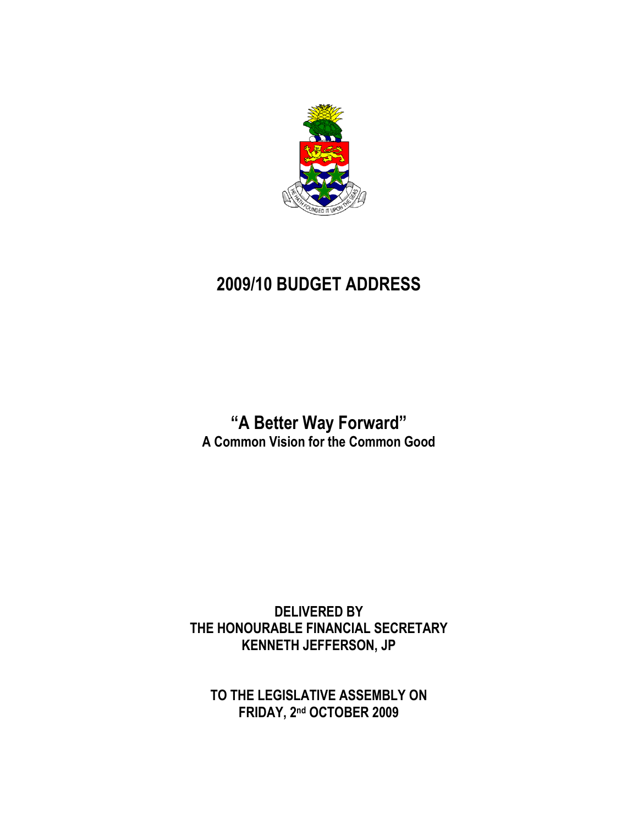

# **2009/10 BUDGET ADDRESS**

**"A Better Way Forward" A Common Vision for the Common Good**

**DELIVERED BY THE HONOURABLE FINANCIAL SECRETARY KENNETH JEFFERSON, JP**

**TO THE LEGISLATIVE ASSEMBLY ON FRIDAY, 2 nd OCTOBER 2009**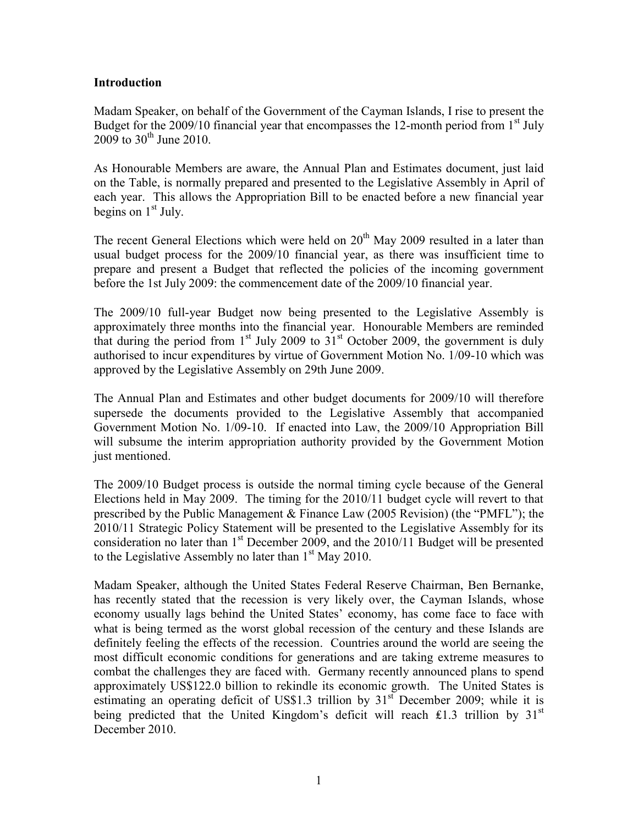#### **Introduction**

Madam Speaker, on behalf of the Government of the Cayman Islands, I rise to present the Budget for the 2009/10 financial year that encompasses the 12-month period from  $1<sup>st</sup>$  July 2009 to  $30^{th}$  June 2010.

As Honourable Members are aware, the Annual Plan and Estimates document, just laid on the Table, is normally prepared and presented to the Legislative Assembly in April of each year. This allows the Appropriation Bill to be enacted before a new financial year begins on  $1<sup>st</sup>$  July.

The recent General Elections which were held on  $20<sup>th</sup>$  May 2009 resulted in a later than usual budget process for the 2009/10 financial year, as there was insufficient time to prepare and present a Budget that reflected the policies of the incoming government before the 1st July 2009: the commencement date of the 2009/10 financial year.

The 2009/10 full-year Budget now being presented to the Legislative Assembly is approximately three months into the financial year. Honourable Members are reminded that during the period from  $1<sup>st</sup>$  July 2009 to  $31<sup>st</sup>$  October 2009, the government is duly authorised to incur expenditures by virtue of Government Motion No. 1/09-10 which was approved by the Legislative Assembly on 29th June 2009.

The Annual Plan and Estimates and other budget documents for 2009/10 will therefore supersede the documents provided to the Legislative Assembly that accompanied Government Motion No. 1/09-10. If enacted into Law, the 2009/10 Appropriation Bill will subsume the interim appropriation authority provided by the Government Motion just mentioned.

The 2009/10 Budget process is outside the normal timing cycle because of the General Elections held in May 2009. The timing for the 2010/11 budget cycle will revert to that prescribed by the Public Management & Finance Law (2005 Revision) (the "PMFL"); the 2010/11 Strategic Policy Statement will be presented to the Legislative Assembly for its consideration no later than  $1<sup>st</sup>$  December 2009, and the 2010/11 Budget will be presented to the Legislative Assembly no later than  $1<sup>st</sup>$  May 2010.

Madam Speaker, although the United States Federal Reserve Chairman, Ben Bernanke, has recently stated that the recession is very likely over, the Cayman Islands, whose economy usually lags behind the United States" economy, has come face to face with what is being termed as the worst global recession of the century and these Islands are definitely feeling the effects of the recession. Countries around the world are seeing the most difficult economic conditions for generations and are taking extreme measures to combat the challenges they are faced with. Germany recently announced plans to spend approximately US\$122.0 billion to rekindle its economic growth. The United States is estimating an operating deficit of US\$1.3 trillion by  $31<sup>st</sup>$  December 2009; while it is being predicted that the United Kingdom's deficit will reach £1.3 trillion by  $31<sup>st</sup>$ December 2010.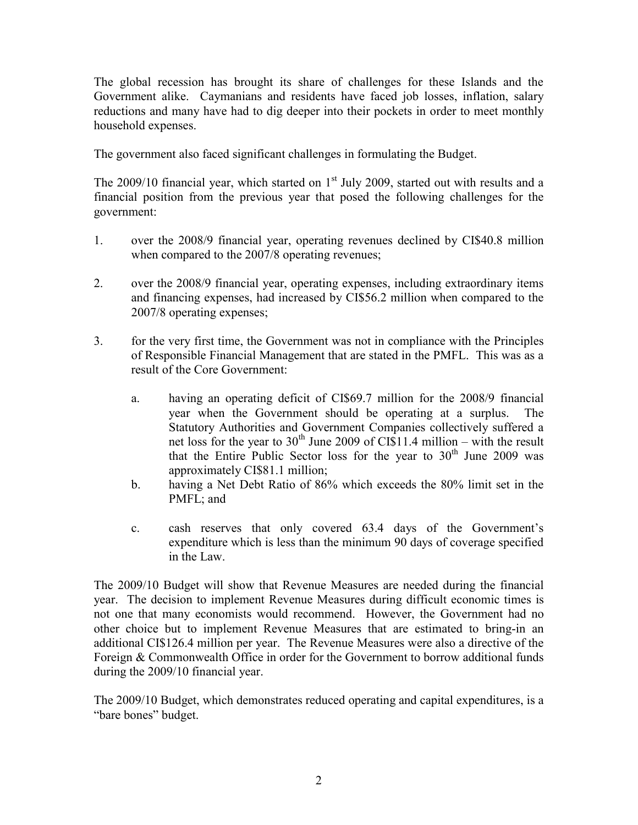The global recession has brought its share of challenges for these Islands and the Government alike. Caymanians and residents have faced job losses, inflation, salary reductions and many have had to dig deeper into their pockets in order to meet monthly household expenses.

The government also faced significant challenges in formulating the Budget.

The 2009/10 financial year, which started on  $1<sup>st</sup>$  July 2009, started out with results and a financial position from the previous year that posed the following challenges for the government:

- 1. over the 2008/9 financial year, operating revenues declined by CI\$40.8 million when compared to the 2007/8 operating revenues;
- 2. over the 2008/9 financial year, operating expenses, including extraordinary items and financing expenses, had increased by CI\$56.2 million when compared to the 2007/8 operating expenses;
- 3. for the very first time, the Government was not in compliance with the Principles of Responsible Financial Management that are stated in the PMFL. This was as a result of the Core Government:
	- a. having an operating deficit of CI\$69.7 million for the 2008/9 financial year when the Government should be operating at a surplus. The Statutory Authorities and Government Companies collectively suffered a net loss for the year to  $30<sup>th</sup>$  June 2009 of CI\$11.4 million – with the result that the Entire Public Sector loss for the year to  $30<sup>th</sup>$  June 2009 was approximately CI\$81.1 million;
	- b. having a Net Debt Ratio of 86% which exceeds the 80% limit set in the PMFL; and
	- c. cash reserves that only covered 63.4 days of the Government"s expenditure which is less than the minimum 90 days of coverage specified in the Law.

The 2009/10 Budget will show that Revenue Measures are needed during the financial year. The decision to implement Revenue Measures during difficult economic times is not one that many economists would recommend. However, the Government had no other choice but to implement Revenue Measures that are estimated to bring-in an additional CI\$126.4 million per year. The Revenue Measures were also a directive of the Foreign & Commonwealth Office in order for the Government to borrow additional funds during the 2009/10 financial year.

The 2009/10 Budget, which demonstrates reduced operating and capital expenditures, is a "bare bones" budget.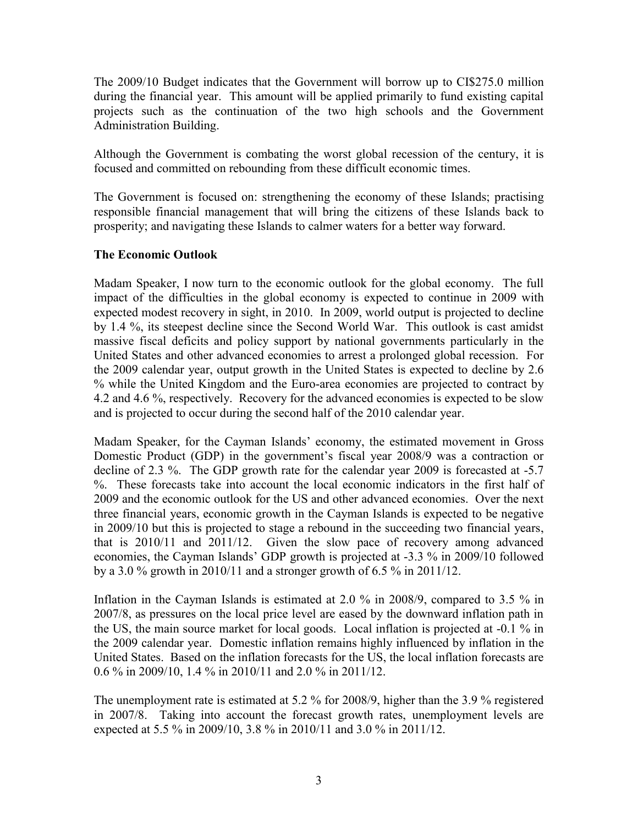The 2009/10 Budget indicates that the Government will borrow up to CI\$275.0 million during the financial year. This amount will be applied primarily to fund existing capital projects such as the continuation of the two high schools and the Government Administration Building.

Although the Government is combating the worst global recession of the century, it is focused and committed on rebounding from these difficult economic times.

The Government is focused on: strengthening the economy of these Islands; practising responsible financial management that will bring the citizens of these Islands back to prosperity; and navigating these Islands to calmer waters for a better way forward.

### **The Economic Outlook**

Madam Speaker, I now turn to the economic outlook for the global economy. The full impact of the difficulties in the global economy is expected to continue in 2009 with expected modest recovery in sight, in 2010. In 2009, world output is projected to decline by 1.4 %, its steepest decline since the Second World War. This outlook is cast amidst massive fiscal deficits and policy support by national governments particularly in the United States and other advanced economies to arrest a prolonged global recession. For the 2009 calendar year, output growth in the United States is expected to decline by 2.6 % while the United Kingdom and the Euro-area economies are projected to contract by 4.2 and 4.6 %, respectively. Recovery for the advanced economies is expected to be slow and is projected to occur during the second half of the 2010 calendar year.

Madam Speaker, for the Cayman Islands" economy, the estimated movement in Gross Domestic Product (GDP) in the government's fiscal year 2008/9 was a contraction or decline of 2.3 %. The GDP growth rate for the calendar year 2009 is forecasted at -5.7 %. These forecasts take into account the local economic indicators in the first half of 2009 and the economic outlook for the US and other advanced economies. Over the next three financial years, economic growth in the Cayman Islands is expected to be negative in 2009/10 but this is projected to stage a rebound in the succeeding two financial years, that is 2010/11 and 2011/12. Given the slow pace of recovery among advanced economies, the Cayman Islands" GDP growth is projected at -3.3 % in 2009/10 followed by a 3.0 % growth in 2010/11 and a stronger growth of 6.5 % in 2011/12.

Inflation in the Cayman Islands is estimated at 2.0 % in 2008/9, compared to 3.5 % in 2007/8, as pressures on the local price level are eased by the downward inflation path in the US, the main source market for local goods. Local inflation is projected at -0.1 % in the 2009 calendar year. Domestic inflation remains highly influenced by inflation in the United States. Based on the inflation forecasts for the US, the local inflation forecasts are 0.6 % in 2009/10, 1.4 % in 2010/11 and 2.0 % in 2011/12.

The unemployment rate is estimated at 5.2 % for 2008/9, higher than the 3.9 % registered in 2007/8. Taking into account the forecast growth rates, unemployment levels are expected at 5.5 % in 2009/10, 3.8 % in 2010/11 and 3.0 % in 2011/12.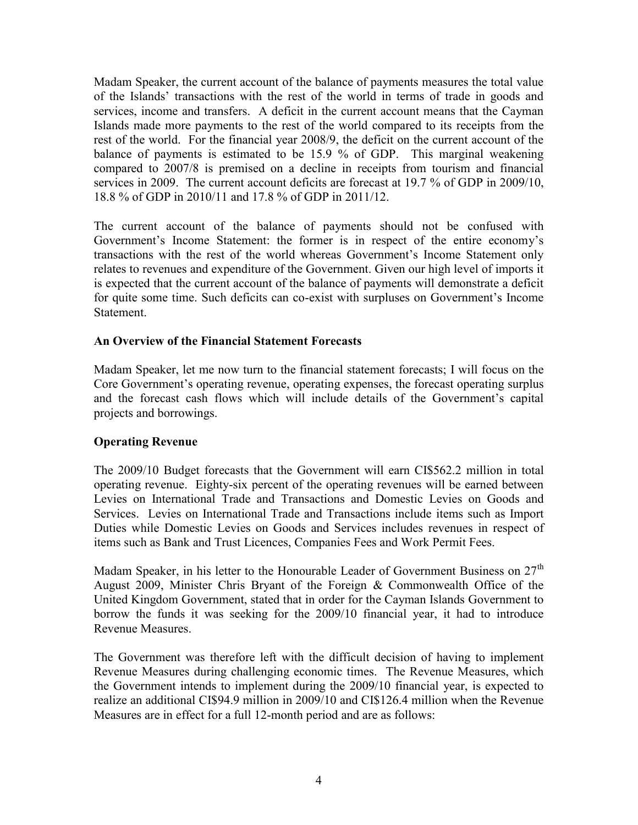Madam Speaker, the current account of the balance of payments measures the total value of the Islands" transactions with the rest of the world in terms of trade in goods and services, income and transfers. A deficit in the current account means that the Cayman Islands made more payments to the rest of the world compared to its receipts from the rest of the world. For the financial year 2008/9, the deficit on the current account of the balance of payments is estimated to be 15.9 % of GDP. This marginal weakening compared to 2007/8 is premised on a decline in receipts from tourism and financial services in 2009. The current account deficits are forecast at 19.7 % of GDP in 2009/10, 18.8 % of GDP in 2010/11 and 17.8 % of GDP in 2011/12.

The current account of the balance of payments should not be confused with Government's Income Statement: the former is in respect of the entire economy's transactions with the rest of the world whereas Government"s Income Statement only relates to revenues and expenditure of the Government. Given our high level of imports it is expected that the current account of the balance of payments will demonstrate a deficit for quite some time. Such deficits can co-exist with surpluses on Government"s Income Statement.

### **An Overview of the Financial Statement Forecasts**

Madam Speaker, let me now turn to the financial statement forecasts; I will focus on the Core Government's operating revenue, operating expenses, the forecast operating surplus and the forecast cash flows which will include details of the Government's capital projects and borrowings.

# **Operating Revenue**

The 2009/10 Budget forecasts that the Government will earn CI\$562.2 million in total operating revenue. Eighty-six percent of the operating revenues will be earned between Levies on International Trade and Transactions and Domestic Levies on Goods and Services. Levies on International Trade and Transactions include items such as Import Duties while Domestic Levies on Goods and Services includes revenues in respect of items such as Bank and Trust Licences, Companies Fees and Work Permit Fees.

Madam Speaker, in his letter to the Honourable Leader of Government Business on 27<sup>th</sup> August 2009, Minister Chris Bryant of the Foreign & Commonwealth Office of the United Kingdom Government, stated that in order for the Cayman Islands Government to borrow the funds it was seeking for the 2009/10 financial year, it had to introduce Revenue Measures.

The Government was therefore left with the difficult decision of having to implement Revenue Measures during challenging economic times. The Revenue Measures, which the Government intends to implement during the 2009/10 financial year, is expected to realize an additional CI\$94.9 million in 2009/10 and CI\$126.4 million when the Revenue Measures are in effect for a full 12-month period and are as follows: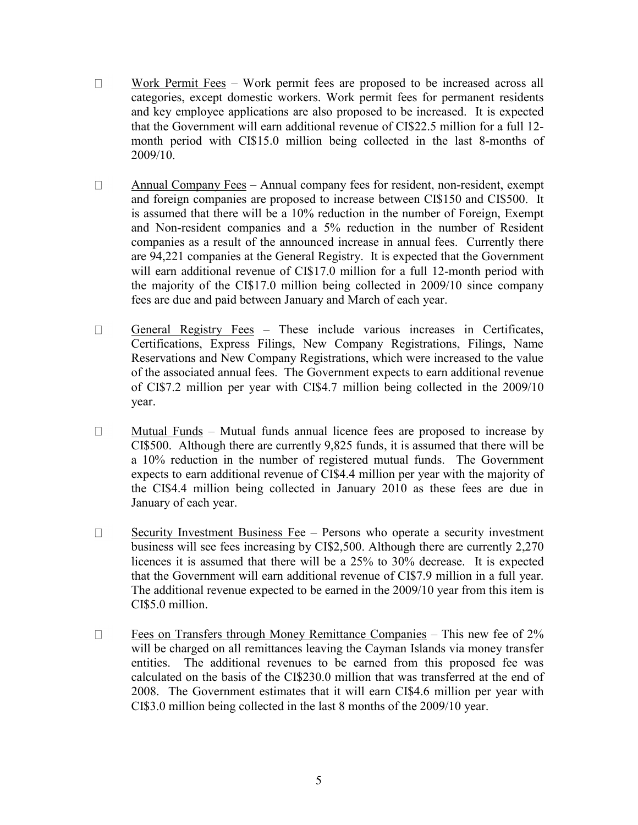- $\Box$ Work Permit Fees – Work permit fees are proposed to be increased across all categories, except domestic workers. Work permit fees for permanent residents and key employee applications are also proposed to be increased. It is expected that the Government will earn additional revenue of CI\$22.5 million for a full 12 month period with CI\$15.0 million being collected in the last 8-months of 2009/10.
- $\Box$ Annual Company Fees – Annual company fees for resident, non-resident, exempt and foreign companies are proposed to increase between CI\$150 and CI\$500. It is assumed that there will be a 10% reduction in the number of Foreign, Exempt and Non-resident companies and a 5% reduction in the number of Resident companies as a result of the announced increase in annual fees. Currently there are 94,221 companies at the General Registry. It is expected that the Government will earn additional revenue of CI\$17.0 million for a full 12-month period with the majority of the CI\$17.0 million being collected in 2009/10 since company fees are due and paid between January and March of each year.
- $\Box$ General Registry Fees – These include various increases in Certificates, Certifications, Express Filings, New Company Registrations, Filings, Name Reservations and New Company Registrations, which were increased to the value of the associated annual fees. The Government expects to earn additional revenue of CI\$7.2 million per year with CI\$4.7 million being collected in the 2009/10 year.
- $\Box$ Mutual Funds – Mutual funds annual licence fees are proposed to increase by CI\$500. Although there are currently 9,825 funds, it is assumed that there will be a 10% reduction in the number of registered mutual funds. The Government expects to earn additional revenue of CI\$4.4 million per year with the majority of the CI\$4.4 million being collected in January 2010 as these fees are due in January of each year.
- Security Investment Business Fee Persons who operate a security investment  $\Box$ business will see fees increasing by CI\$2,500. Although there are currently 2,270 licences it is assumed that there will be a 25% to 30% decrease. It is expected that the Government will earn additional revenue of CI\$7.9 million in a full year. The additional revenue expected to be earned in the 2009/10 year from this item is CI\$5.0 million.
- $\Box$ Fees on Transfers through Money Remittance Companies – This new fee of 2% will be charged on all remittances leaving the Cayman Islands via money transfer entities. The additional revenues to be earned from this proposed fee was calculated on the basis of the CI\$230.0 million that was transferred at the end of 2008. The Government estimates that it will earn CI\$4.6 million per year with CI\$3.0 million being collected in the last 8 months of the 2009/10 year.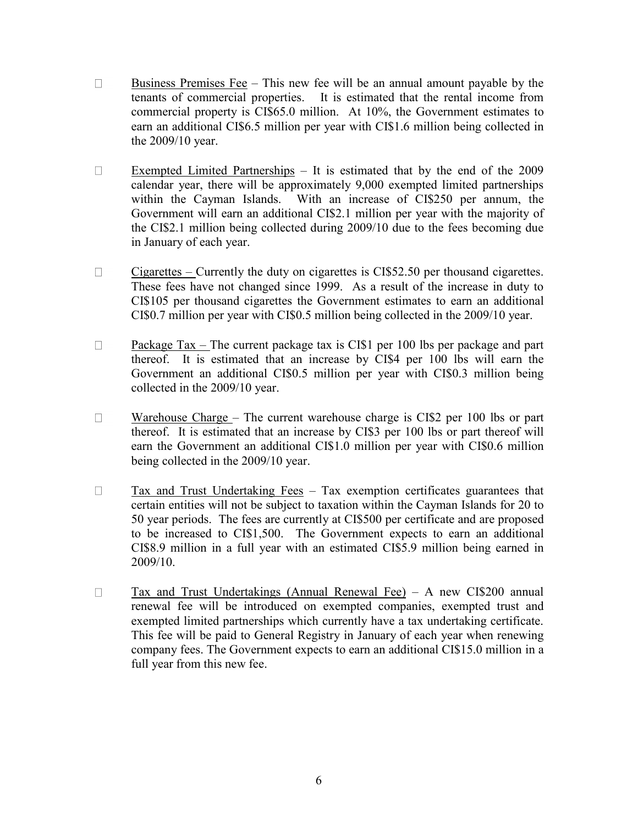- $\Box$ Business Premises Fee – This new fee will be an annual amount payable by the tenants of commercial properties. It is estimated that the rental income from commercial property is CI\$65.0 million. At 10%, the Government estimates to earn an additional CI\$6.5 million per year with CI\$1.6 million being collected in the 2009/10 year.
- Exempted Limited Partnerships It is estimated that by the end of the 2009  $\Box$ calendar year, there will be approximately 9,000 exempted limited partnerships within the Cayman Islands. With an increase of CI\$250 per annum, the Government will earn an additional CI\$2.1 million per year with the majority of the CI\$2.1 million being collected during 2009/10 due to the fees becoming due in January of each year.
- Cigarettes Currently the duty on cigarettes is CI\$52.50 per thousand cigarettes.  $\Box$ These fees have not changed since 1999. As a result of the increase in duty to CI\$105 per thousand cigarettes the Government estimates to earn an additional CI\$0.7 million per year with CI\$0.5 million being collected in the 2009/10 year.
- $\Box$ Package Tax – The current package tax is CI\$1 per 100 lbs per package and part thereof. It is estimated that an increase by CI\$4 per 100 lbs will earn the Government an additional CI\$0.5 million per year with CI\$0.3 million being collected in the 2009/10 year.
- $\Box$ Warehouse Charge – The current warehouse charge is CI\$2 per 100 lbs or part thereof. It is estimated that an increase by CI\$3 per 100 lbs or part thereof will earn the Government an additional CI\$1.0 million per year with CI\$0.6 million being collected in the 2009/10 year.
- $\Box$ Tax and Trust Undertaking Fees – Tax exemption certificates guarantees that certain entities will not be subject to taxation within the Cayman Islands for 20 to 50 year periods. The fees are currently at CI\$500 per certificate and are proposed to be increased to CI\$1,500. The Government expects to earn an additional CI\$8.9 million in a full year with an estimated CI\$5.9 million being earned in 2009/10.
- $\Box$ Tax and Trust Undertakings (Annual Renewal Fee) – A new CI\$200 annual renewal fee will be introduced on exempted companies, exempted trust and exempted limited partnerships which currently have a tax undertaking certificate. This fee will be paid to General Registry in January of each year when renewing company fees. The Government expects to earn an additional CI\$15.0 million in a full year from this new fee.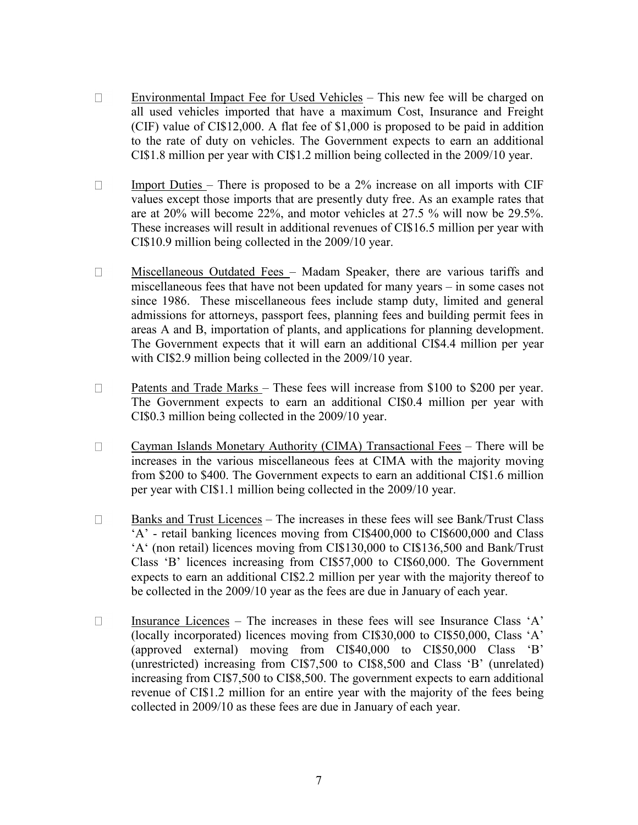- $\Box$ Environmental Impact Fee for Used Vehicles – This new fee will be charged on all used vehicles imported that have a maximum Cost, Insurance and Freight (CIF) value of CI\$12,000. A flat fee of \$1,000 is proposed to be paid in addition to the rate of duty on vehicles. The Government expects to earn an additional CI\$1.8 million per year with CI\$1.2 million being collected in the 2009/10 year.
- $\Box$ Import Duties – There is proposed to be a 2% increase on all imports with CIF values except those imports that are presently duty free. As an example rates that are at 20% will become 22%, and motor vehicles at 27.5 % will now be 29.5%. These increases will result in additional revenues of CI\$16.5 million per year with CI\$10.9 million being collected in the 2009/10 year.
- Miscellaneous Outdated Fees Madam Speaker, there are various tariffs and  $\Box$ miscellaneous fees that have not been updated for many years – in some cases not since 1986. These miscellaneous fees include stamp duty, limited and general admissions for attorneys, passport fees, planning fees and building permit fees in areas A and B, importation of plants, and applications for planning development. The Government expects that it will earn an additional CI\$4.4 million per year with CI\$2.9 million being collected in the 2009/10 year.
- Patents and Trade Marks These fees will increase from \$100 to \$200 per year.  $\Box$ The Government expects to earn an additional CI\$0.4 million per year with CI\$0.3 million being collected in the 2009/10 year.
- $\Box$ Cayman Islands Monetary Authority (CIMA) Transactional Fees – There will be increases in the various miscellaneous fees at CIMA with the majority moving from \$200 to \$400. The Government expects to earn an additional CI\$1.6 million per year with CI\$1.1 million being collected in the 2009/10 year.
- Banks and Trust Licences The increases in these fees will see Bank/Trust Class  $\Box$ "A" - retail banking licences moving from CI\$400,000 to CI\$600,000 and Class "A" (non retail) licences moving from CI\$130,000 to CI\$136,500 and Bank/Trust Class "B" licences increasing from CI\$57,000 to CI\$60,000. The Government expects to earn an additional CI\$2.2 million per year with the majority thereof to be collected in the 2009/10 year as the fees are due in January of each year.
- $\Box$ Insurance Licences – The increases in these fees will see Insurance Class "A" (locally incorporated) licences moving from CI\$30,000 to CI\$50,000, Class "A" (approved external) moving from CI\$40,000 to CI\$50,000 Class "B" (unrestricted) increasing from CI\$7,500 to CI\$8,500 and Class "B" (unrelated) increasing from CI\$7,500 to CI\$8,500. The government expects to earn additional revenue of CI\$1.2 million for an entire year with the majority of the fees being collected in 2009/10 as these fees are due in January of each year.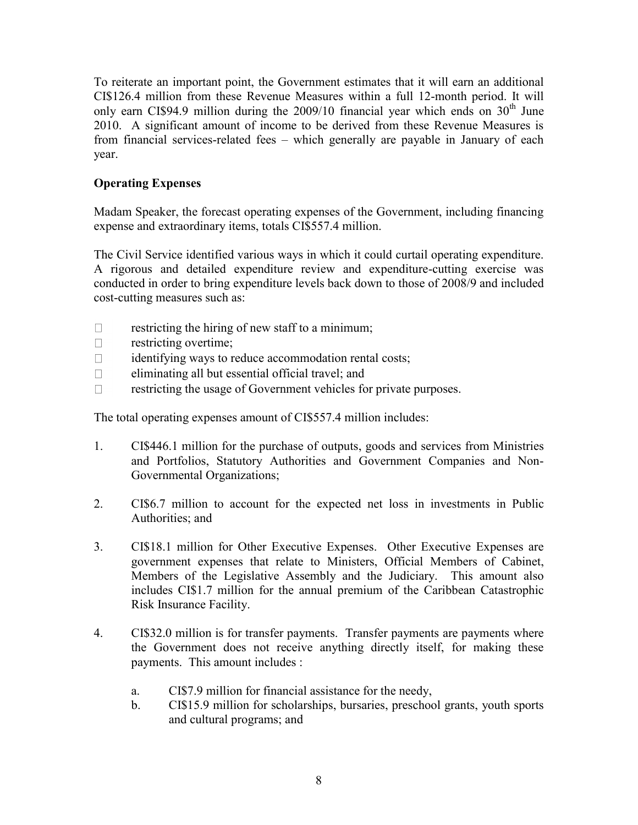To reiterate an important point, the Government estimates that it will earn an additional CI\$126.4 million from these Revenue Measures within a full 12-month period. It will only earn CI\$94.9 million during the  $2009/10$  financial year which ends on  $30<sup>th</sup>$  June 2010. A significant amount of income to be derived from these Revenue Measures is from financial services-related fees – which generally are payable in January of each year.

## **Operating Expenses**

Madam Speaker, the forecast operating expenses of the Government, including financing expense and extraordinary items, totals CI\$557.4 million.

The Civil Service identified various ways in which it could curtail operating expenditure. A rigorous and detailed expenditure review and expenditure-cutting exercise was conducted in order to bring expenditure levels back down to those of 2008/9 and included cost-cutting measures such as:

- $\Box$ restricting the hiring of new staff to a minimum;
- restricting overtime;  $\Box$
- identifying ways to reduce accommodation rental costs;  $\Box$
- eliminating all but essential official travel; and  $\Box$
- restricting the usage of Government vehicles for private purposes.  $\Box$

The total operating expenses amount of CI\$557.4 million includes:

- 1. CI\$446.1 million for the purchase of outputs, goods and services from Ministries and Portfolios, Statutory Authorities and Government Companies and Non-Governmental Organizations;
- 2. CI\$6.7 million to account for the expected net loss in investments in Public Authorities; and
- 3. CI\$18.1 million for Other Executive Expenses. Other Executive Expenses are government expenses that relate to Ministers, Official Members of Cabinet, Members of the Legislative Assembly and the Judiciary. This amount also includes CI\$1.7 million for the annual premium of the Caribbean Catastrophic Risk Insurance Facility.
- 4. CI\$32.0 million is for transfer payments. Transfer payments are payments where the Government does not receive anything directly itself, for making these payments. This amount includes :
	- a. CI\$7.9 million for financial assistance for the needy,
	- b. CI\$15.9 million for scholarships, bursaries, preschool grants, youth sports and cultural programs; and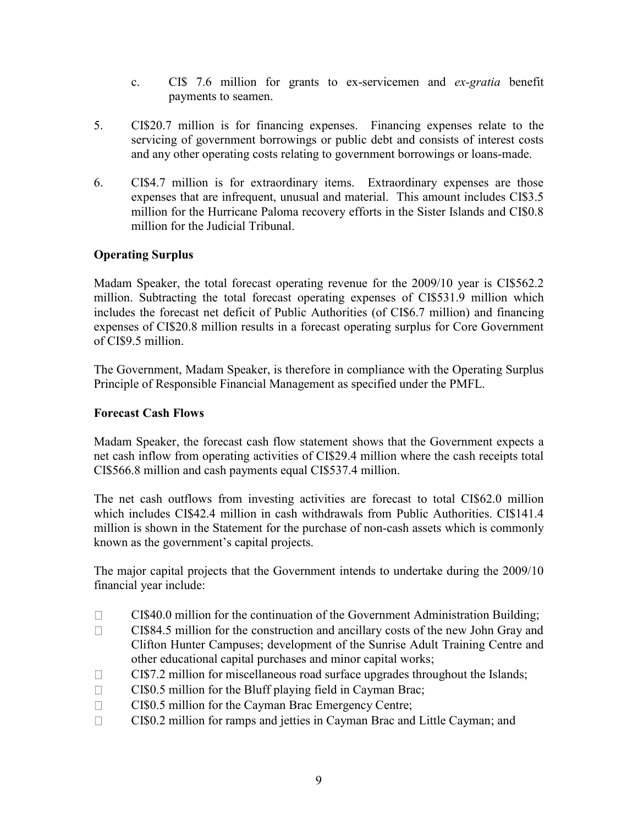- c. CI\$ 7.6 million for grants to ex-servicemen and *ex-gratia* benefit payments to seamen.
- 5. CI\$20.7 million is for financing expenses. Financing expenses relate to the servicing of government borrowings or public debt and consists of interest costs and any other operating costs relating to government borrowings or loans-made.
- 6. CI\$4.7 million is for extraordinary items. Extraordinary expenses are those expenses that are infrequent, unusual and material. This amount includes CI\$3.5 million for the Hurricane Paloma recovery efforts in the Sister Islands and CI\$0.8 million for the Judicial Tribunal.

## **Operating Surplus**

Madam Speaker, the total forecast operating revenue for the 2009/10 year is CI\$562.2 million. Subtracting the total forecast operating expenses of CI\$531.9 million which includes the forecast net deficit of Public Authorities (of CI\$6.7 million) and financing expenses of CI\$20.8 million results in a forecast operating surplus for Core Government of CI\$9.5 million.

The Government, Madam Speaker, is therefore in compliance with the Operating Surplus Principle of Responsible Financial Management as specified under the PMFL.

### **Forecast Cash Flows**

Madam Speaker, the forecast cash flow statement shows that the Government expects a net cash inflow from operating activities of CI\$29.4 million where the cash receipts total CI\$566.8 million and cash payments equal CI\$537.4 million.

The net cash outflows from investing activities are forecast to total CI\$62.0 million which includes CI\$42.4 million in cash withdrawals from Public Authorities. CI\$141.4 million is shown in the Statement for the purchase of non-cash assets which is commonly known as the government"s capital projects.

The major capital projects that the Government intends to undertake during the 2009/10 financial year include:

- $\Box$ CI\$40.0 million for the continuation of the Government Administration Building;
- $\Box$ CI\$84.5 million for the construction and ancillary costs of the new John Gray and Clifton Hunter Campuses; development of the Sunrise Adult Training Centre and other educational capital purchases and minor capital works;
- $\Box$ CI\$7.2 million for miscellaneous road surface upgrades throughout the Islands;
- CI\$0.5 million for the Bluff playing field in Cayman Brac;  $\Box$
- $\Box$ CI\$0.5 million for the Cayman Brac Emergency Centre;
- $\Box$ CI\$0.2 million for ramps and jetties in Cayman Brac and Little Cayman; and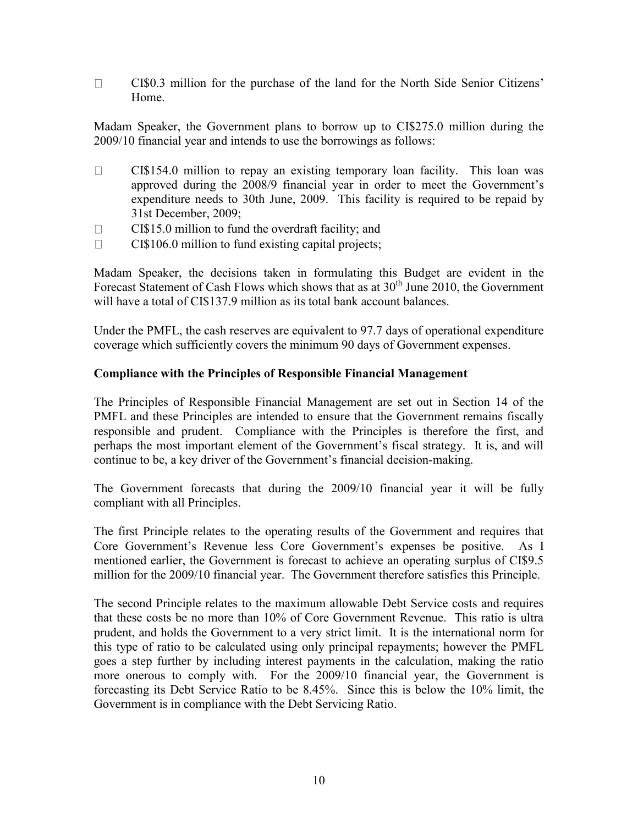$\Box$ CI\$0.3 million for the purchase of the land for the North Side Senior Citizens" Home.

Madam Speaker, the Government plans to borrow up to CI\$275.0 million during the 2009/10 financial year and intends to use the borrowings as follows:

- CI\$154.0 million to repay an existing temporary loan facility. This loan was  $\Box$ approved during the 2008/9 financial year in order to meet the Government's expenditure needs to 30th June, 2009. This facility is required to be repaid by 31st December, 2009;
- $\Box$ CI\$15.0 million to fund the overdraft facility; and
- CI\$106.0 million to fund existing capital projects;  $\Box$

Madam Speaker, the decisions taken in formulating this Budget are evident in the Forecast Statement of Cash Flows which shows that as at  $30<sup>th</sup>$  June 2010, the Government will have a total of CI\$137.9 million as its total bank account balances.

Under the PMFL, the cash reserves are equivalent to 97.7 days of operational expenditure coverage which sufficiently covers the minimum 90 days of Government expenses.

#### **Compliance with the Principles of Responsible Financial Management**

The Principles of Responsible Financial Management are set out in Section 14 of the PMFL and these Principles are intended to ensure that the Government remains fiscally responsible and prudent. Compliance with the Principles is therefore the first, and perhaps the most important element of the Government"s fiscal strategy. It is, and will continue to be, a key driver of the Government"s financial decision-making.

The Government forecasts that during the 2009/10 financial year it will be fully compliant with all Principles.

The first Principle relates to the operating results of the Government and requires that Core Government's Revenue less Core Government's expenses be positive. As I mentioned earlier, the Government is forecast to achieve an operating surplus of CI\$9.5 million for the 2009/10 financial year. The Government therefore satisfies this Principle.

The second Principle relates to the maximum allowable Debt Service costs and requires that these costs be no more than 10% of Core Government Revenue. This ratio is ultra prudent, and holds the Government to a very strict limit. It is the international norm for this type of ratio to be calculated using only principal repayments; however the PMFL goes a step further by including interest payments in the calculation, making the ratio more onerous to comply with. For the 2009/10 financial year, the Government is forecasting its Debt Service Ratio to be 8.45%. Since this is below the 10% limit, the Government is in compliance with the Debt Servicing Ratio.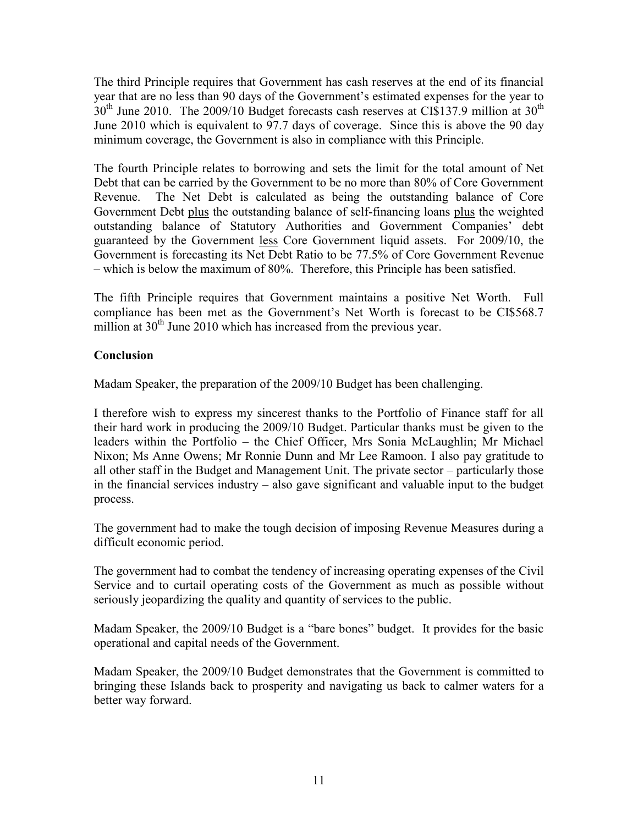The third Principle requires that Government has cash reserves at the end of its financial year that are no less than 90 days of the Government's estimated expenses for the year to  $30<sup>th</sup>$  June 2010. The 2009/10 Budget forecasts cash reserves at CI\$137.9 million at 30<sup>th</sup> June 2010 which is equivalent to 97.7 days of coverage. Since this is above the 90 day minimum coverage, the Government is also in compliance with this Principle.

The fourth Principle relates to borrowing and sets the limit for the total amount of Net Debt that can be carried by the Government to be no more than 80% of Core Government Revenue. The Net Debt is calculated as being the outstanding balance of Core Government Debt plus the outstanding balance of self-financing loans plus the weighted outstanding balance of Statutory Authorities and Government Companies" debt guaranteed by the Government less Core Government liquid assets. For 2009/10, the Government is forecasting its Net Debt Ratio to be 77.5% of Core Government Revenue – which is below the maximum of 80%. Therefore, this Principle has been satisfied.

The fifth Principle requires that Government maintains a positive Net Worth. Full compliance has been met as the Government"s Net Worth is forecast to be CI\$568.7 million at  $30<sup>th</sup>$  June 2010 which has increased from the previous year.

## **Conclusion**

Madam Speaker, the preparation of the 2009/10 Budget has been challenging.

I therefore wish to express my sincerest thanks to the Portfolio of Finance staff for all their hard work in producing the 2009/10 Budget. Particular thanks must be given to the leaders within the Portfolio – the Chief Officer, Mrs Sonia McLaughlin; Mr Michael Nixon; Ms Anne Owens; Mr Ronnie Dunn and Mr Lee Ramoon. I also pay gratitude to all other staff in the Budget and Management Unit. The private sector – particularly those in the financial services industry – also gave significant and valuable input to the budget process.

The government had to make the tough decision of imposing Revenue Measures during a difficult economic period.

The government had to combat the tendency of increasing operating expenses of the Civil Service and to curtail operating costs of the Government as much as possible without seriously jeopardizing the quality and quantity of services to the public.

Madam Speaker, the 2009/10 Budget is a "bare bones" budget. It provides for the basic operational and capital needs of the Government.

Madam Speaker, the 2009/10 Budget demonstrates that the Government is committed to bringing these Islands back to prosperity and navigating us back to calmer waters for a better way forward.